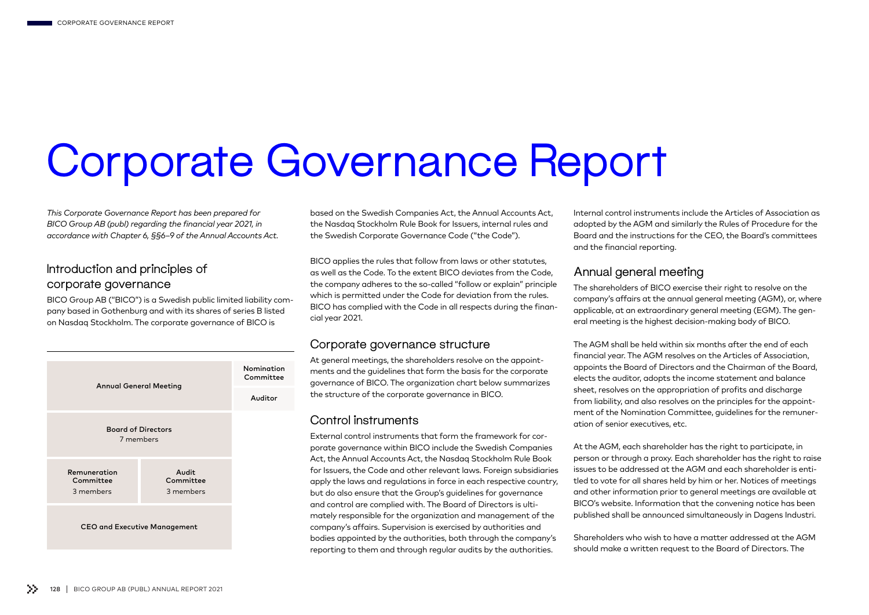# Corporate Governance Report

*This Corporate Governance Report has been prepared for BICO Group AB (publ) regarding the financial year 2021, in accordance with Chapter 6, §§6–9 of the Annual Accounts Act.*

## Introduction and principles of corporate governance

BICO Group AB ("BICO") is a Swedish public limited liability company based in Gothenburg and with its shares of series B listed on Nasdaq Stockholm. The corporate governance of BICO is



based on the Swedish Companies Act, the Annual Accounts Act, the Nasdaq Stockholm Rule Book for Issuers, internal rules and the Swedish Corporate Governance Code ("the Code").

BICO applies the rules that follow from laws or other statutes, as well as the Code. To the extent BICO deviates from the Code, the company adheres to the so-called "follow or explain" principle which is permitted under the Code for deviation from the rules. BICO has complied with the Code in all respects during the financial year 2021.

## Corporate governance structure

At general meetings, the shareholders resolve on the appointments and the guidelines that form the basis for the corporate governance of BICO. The organization chart below summarizes the structure of the corporate governance in BICO.

## Control instruments

External control instruments that form the framework for corporate governance within BICO include the Swedish Companies Act, the Annual Accounts Act, the Nasdaq Stockholm Rule Book for Issuers, the Code and other relevant laws. Foreign subsidiaries apply the laws and regulations in force in each respective country, but do also ensure that the Group's guidelines for governance and control are complied with. The Board of Directors is ultimately responsible for the organization and management of the company's affairs. Supervision is exercised by authorities and bodies appointed by the authorities, both through the company's reporting to them and through regular audits by the authorities.

Internal control instruments include the Articles of Association as adopted by the AGM and similarly the Rules of Procedure for the Board and the instructions for the CEO, the Board's committees and the financial reporting.

## Annual general meeting

The shareholders of BICO exercise their right to resolve on the company's affairs at the annual general meeting (AGM), or, where applicable, at an extraordinary general meeting (EGM). The general meeting is the highest decision-making body of BICO.

The AGM shall be held within six months after the end of each financial year. The AGM resolves on the Articles of Association, appoints the Board of Directors and the Chairman of the Board, elects the auditor, adopts the income statement and balance sheet, resolves on the appropriation of profits and discharge from liability, and also resolves on the principles for the appointment of the Nomination Committee, guidelines for the remuneration of senior executives, etc.

At the AGM, each shareholder has the right to participate, in person or through a proxy. Each shareholder has the right to raise issues to be addressed at the AGM and each shareholder is entitled to vote for all shares held by him or her. Notices of meetings and other information prior to general meetings are available at BICO's website. Information that the convening notice has been published shall be announced simultaneously in Dagens Industri.

Shareholders who wish to have a matter addressed at the AGM should make a written request to the Board of Directors. The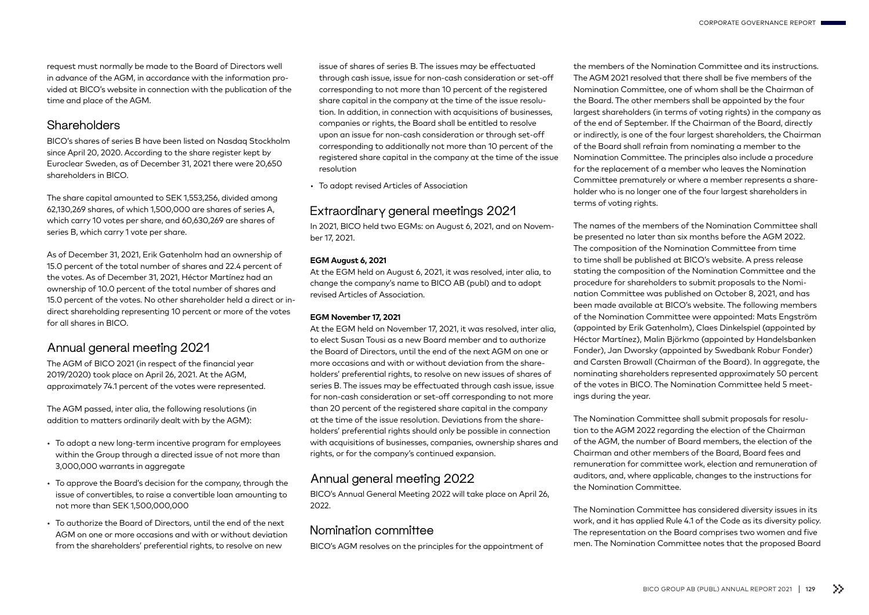request must normally be made to the Board of Directors well in advance of the AGM, in accordance with the information provided at BICO's website in connection with the publication of the time and place of the AGM.

## **Shareholders**

BICO's shares of series B have been listed on Nasdaq Stockholm since April 20, 2020. According to the share register kept by Euroclear Sweden, as of December 31, 2021 there were 20,650 shareholders in BICO.

The share capital amounted to SEK 1,553,256, divided among 62,130,269 shares, of which 1,500,000 are shares of series A, which carry 10 votes per share, and 60,630,269 are shares of series B, which carry 1 vote per share.

As of December 31, 2021, Erik Gatenholm had an ownership of 15.0 percent of the total number of shares and 22.4 percent of the votes. As of December 31, 2021, Héctor Martínez had an ownership of 10.0 percent of the total number of shares and 15.0 percent of the votes. No other shareholder held a direct or indirect shareholding representing 10 percent or more of the votes for all shares in BICO.

# Annual general meeting 2021

The AGM of BICO 2021 (in respect of the financial year 2019/2020) took place on April 26, 2021. At the AGM, approximately 74.1 percent of the votes were represented.

The AGM passed, inter alia, the following resolutions (in addition to matters ordinarily dealt with by the AGM):

- To adopt a new long-term incentive program for employees within the Group through a directed issue of not more than 3,000,000 warrants in aggregate
- To approve the Board's decision for the company, through the issue of convertibles, to raise a convertible loan amounting to not more than SEK 1,500,000,000
- To authorize the Board of Directors, until the end of the next AGM on one or more occasions and with or without deviation from the shareholders' preferential rights, to resolve on new

issue of shares of series B. The issues may be effectuated through cash issue, issue for non-cash consideration or set-off corresponding to not more than 10 percent of the registered share capital in the company at the time of the issue resolution. In addition, in connection with acquisitions of businesses, companies or rights, the Board shall be entitled to resolve upon an issue for non-cash consideration or through set-off corresponding to additionally not more than 10 percent of the reaistered share capital in the company at the time of the issue resolution

• To adopt revised Articles of Association

# Extraordinary general meetings 2021

In 2021, BICO held two EGMs: on August 6, 2021, and on November 17, 2021.

### **EGM August 6, 2021**

At the EGM held on August 6, 2021, it was resolved, inter alia, to change the company's name to BICO AB (publ) and to adopt revised Articles of Association.

#### **EGM November 17, 2021**

At the EGM held on November 17, 2021, it was resolved, inter alia, to elect Susan Tousi as a new Board member and to authorize the Board of Directors, until the end of the next AGM on one or more occasions and with or without deviation from the shareholders' preferential rights, to resolve on new issues of shares of series B. The issues may be effectuated through cash issue, issue for non-cash consideration or set-off corresponding to not more than 20 percent of the registered share capital in the company at the time of the issue resolution. Deviations from the shareholders' preferential rights should only be possible in connection with acquisitions of businesses, companies, ownership shares and rights, or for the company's continued expansion.

# Annual general meeting 2022

BICO's Annual General Meeting 2022 will take place on April 26, 2022.

# Nomination committee

BICO's AGM resolves on the principles for the appointment of

the members of the Nomination Committee and its instructions. The AGM 2021 resolved that there shall be five members of the Nomination Committee, one of whom shall be the Chairman of the Board. The other members shall be appointed by the four largest shareholders (in terms of voting rights) in the company as of the end of September. If the Chairman of the Board, directly or indirectly, is one of the four largest shareholders, the Chairman of the Board shall refrain from nominating a member to the Nomination Committee. The principles also include a procedure for the replacement of a member who leaves the Nomination Committee prematurely or where a member represents a shareholder who is no longer one of the four largest shareholders in terms of voting rights.

The names of the members of the Nomination Committee shall be presented no later than six months before the AGM 2022. The composition of the Nomination Committee from time to time shall be published at BICO's website. A press release stating the composition of the Nomination Committee and the procedure for shareholders to submit proposals to the Nomination Committee was published on October 8, 2021, and has been made available at BICO's website. The following members of the Nomination Committee were appointed: Mats Engström (appointed by Erik Gatenholm), Claes Dinkelspiel (appointed by Héctor Martínez), Malin Björkmo (appointed by Handelsbanken Fonder), Jan Dworsky (appointed by Swedbank Robur Fonder) and Carsten Browall (Chairman of the Board). In aggregate, the nominating shareholders represented approximately 50 percent of the votes in BICO. The Nomination Committee held 5 meetings during the year.

The Nomination Committee shall submit proposals for resolution to the AGM 2022 regarding the election of the Chairman of the AGM, the number of Board members, the election of the Chairman and other members of the Board, Board fees and remuneration for committee work, election and remuneration of auditors, and, where applicable, changes to the instructions for the Nomination Committee.

The Nomination Committee has considered diversity issues in its work, and it has applied Rule 4.1 of the Code as its diversity policy. The representation on the Board comprises two women and five men. The Nomination Committee notes that the proposed Board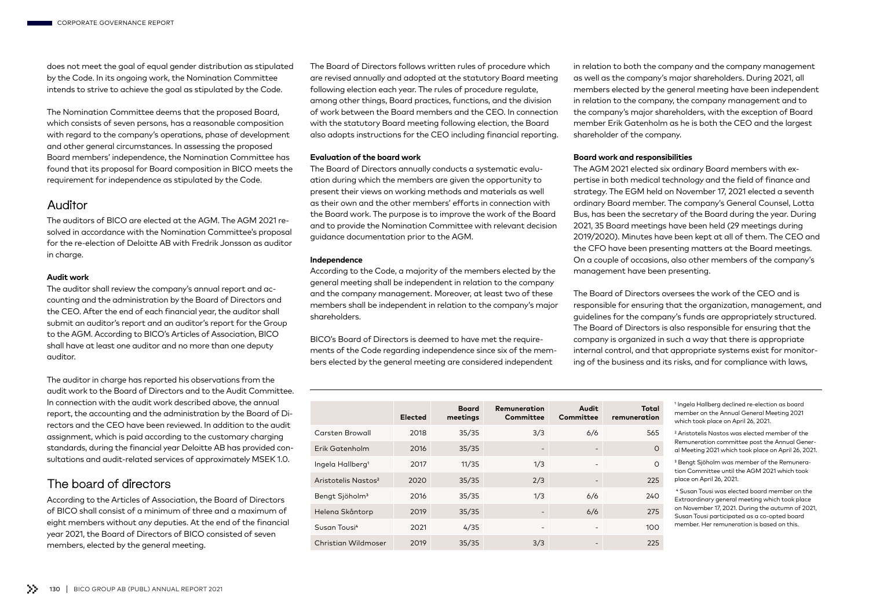does not meet the goal of equal gender distribution as stipulated by the Code. In its ongoing work, the Nomination Committee intends to strive to achieve the goal as stipulated by the Code.

The Nomination Committee deems that the proposed Board, which consists of seven persons, has a reasonable composition with regard to the company's operations, phase of development and other general circumstances. In assessing the proposed Board members' independence, the Nomination Committee has found that its proposal for Board composition in BICO meets the requirement for independence as stipulated by the Code.

## Auditor

The auditors of BICO are elected at the AGM. The AGM 2021 resolved in accordance with the Nomination Committee's proposal for the re-election of Deloitte AB with Fredrik Jonsson as auditor in charge.

#### **Audit work**

The auditor shall review the company's annual report and accounting and the administration by the Board of Directors and the CEO. After the end of each financial year, the auditor shall submit an auditor's report and an auditor's report for the Group to the AGM. According to BICO's Articles of Association, BICO shall have at least one auditor and no more than one deputy auditor.

The auditor in charge has reported his observations from the audit work to the Board of Directors and to the Audit Committee. In connection with the audit work described above, the annual report, the accounting and the administration by the Board of Directors and the CEO have been reviewed. In addition to the audit assignment, which is paid according to the customary charging standards, during the financial year Deloitte AB has provided consultations and audit-related services of approximately MSEK 1.0.

# The board of directors

According to the Articles of Association, the Board of Directors of BICO shall consist of a minimum of three and a maximum of eight members without any deputies. At the end of the financial year 2021, the Board of Directors of BICO consisted of seven members, elected by the general meeting.

The Board of Directors follows written rules of procedure which are revised annually and adopted at the statutory Board meeting following election each year. The rules of procedure regulate, among other things, Board practices, functions, and the division of work between the Board members and the CEO. In connection with the statutory Board meeting following election, the Board also adopts instructions for the CEO including financial reporting.

#### **Evaluation of the board work**

The Board of Directors annually conducts a systematic evaluation during which the members are given the opportunity to present their views on working methods and materials as well as their own and the other members' efforts in connection with the Board work. The purpose is to improve the work of the Board and to provide the Nomination Committee with relevant decision guidance documentation prior to the AGM.

#### **Independence**

According to the Code, a majority of the members elected by the general meeting shall be independent in relation to the company and the company management. Moreover, at least two of these members shall be independent in relation to the company's major shareholders.

BICO's Board of Directors is deemed to have met the requirements of the Code regarding independence since six of the members elected by the general meeting are considered independent

in relation to both the company and the company management as well as the company's major shareholders. During 2021, all members elected by the general meeting have been independent in relation to the company, the company management and to the company's major shareholders, with the exception of Board member Erik Gatenholm as he is both the CEO and the largest shareholder of the company.

#### **Board work and responsibilities**

The AGM 2021 elected six ordinary Board members with expertise in both medical technology and the field of finance and strategy. The EGM held on November 17, 2021 elected a seventh ordinary Board member. The company's General Counsel, Lotta Bus, has been the secretary of the Board during the year. During 2021, 35 Board meetings have been held (29 meetings during 2019/2020). Minutes have been kept at all of them. The CEO and the CFO have been presenting matters at the Board meetings. On a couple of occasions, also other members of the company's management have been presenting.

The Board of Directors oversees the work of the CEO and is responsible for ensuring that the organization, management, and guidelines for the company's funds are appropriately structured. The Board of Directors is also responsible for ensuring that the company is organized in such a way that there is appropriate internal control, and that appropriate systems exist for monitoring of the business and its risks, and for compliance with laws,

|                                 | Elected | <b>Board</b><br>meetings | Remuneration<br>Committee | Audit<br>Committee       | Total<br>remuneration |
|---------------------------------|---------|--------------------------|---------------------------|--------------------------|-----------------------|
| <b>Carsten Browall</b>          | 2018    | 35/35                    | 3/3                       | 6/6                      | 565                   |
| Erik Gatenholm                  | 2016    | 35/35                    | $\overline{\phantom{a}}$  | $\overline{\phantom{a}}$ | $\Omega$              |
| Ingela Hallberg <sup>1</sup>    | 2017    | 11/35                    | 1/3                       | $\overline{\phantom{a}}$ | $\Omega$              |
| Aristotelis Nastos <sup>2</sup> | 2020    | 35/35                    | 2/3                       | -                        | 225                   |
| Bengt Sjöholm <sup>3</sup>      | 2016    | 35/35                    | 1/3                       | 6/6                      | 240                   |
| Helena Skåntorp                 | 2019    | 35/35                    | $\overline{\phantom{a}}$  | 6/6                      | 275                   |
| Susan Tousi <sup>4</sup>        | 2021    | 4/35                     | $\overline{\phantom{a}}$  | -                        | 100                   |
| Christian Wildmoser             | 2019    | 35/35                    | 3/3                       |                          | 225                   |

1 Ingela Hallberg declined re-election as board member on the Annual General Meeting 2021 which took place on April 26, 2021.

2 Aristotelis Nastos was elected member of the Remuneration committee post the Annual General Meeting 2021 which took place on April 26, 2021.

3 Bengt Sjöholm was member of the Remuneration Committee until the AGM 2021 which took place on April 26, 2021.

4 Susan Tousi was elected board member on the Extraordinary general meeting which took place on November 17, 2021. During the autumn of 2021, Susan Tousi participated as a co-opted board member. Her remuneration is based on this.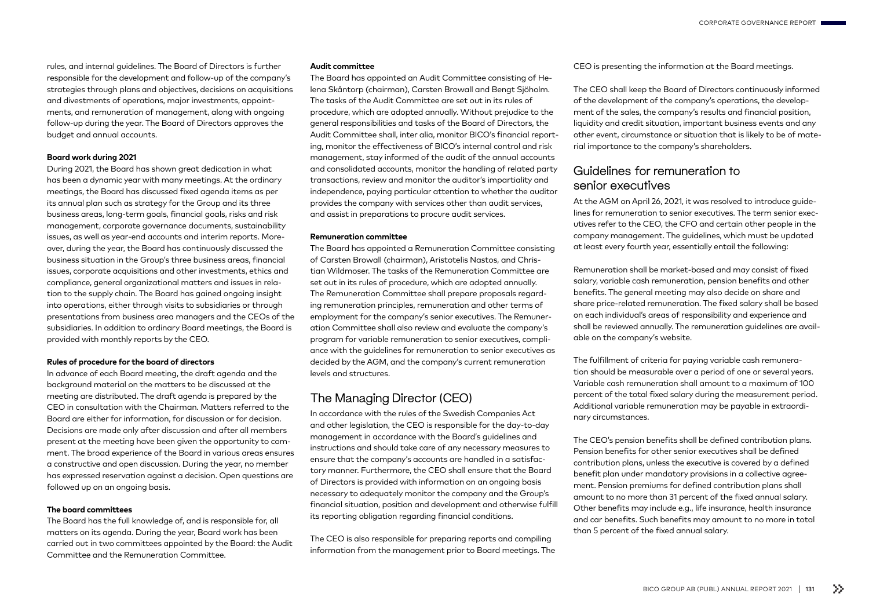rules, and internal guidelines. The Board of Directors is further responsible for the development and follow-up of the company's strategies through plans and objectives, decisions on acquisitions and divestments of operations, major investments, appointments, and remuneration of management, along with ongoing follow-up during the year. The Board of Directors approves the budget and annual accounts.

#### **Board work during 2021**

During 2021, the Board has shown great dedication in what has been a dynamic year with many meetings. At the ordinary meetings, the Board has discussed fixed agenda items as per its annual plan such as strategy for the Group and its three business areas, long-term goals, financial goals, risks and risk management, corporate governance documents, sustainability issues, as well as year-end accounts and interim reports. Moreover, during the year, the Board has continuously discussed the business situation in the Group's three business areas, financial issues, corporate acquisitions and other investments, ethics and compliance, general organizational matters and issues in relation to the supply chain. The Board has gained ongoing insight into operations, either through visits to subsidiaries or through presentations from business area managers and the CEOs of the subsidiaries. In addition to ordinary Board meetings, the Board is provided with monthly reports by the CEO.

#### **Rules of procedure for the board of directors**

In advance of each Board meeting, the draft agenda and the background material on the matters to be discussed at the meeting are distributed. The draft agenda is prepared by the CEO in consultation with the Chairman. Matters referred to the Board are either for information, for discussion or for decision. Decisions are made only after discussion and after all members present at the meeting have been given the opportunity to comment. The broad experience of the Board in various areas ensures a constructive and open discussion. During the year, no member has expressed reservation against a decision. Open questions are followed up on an ongoing basis.

#### **The board committees**

The Board has the full knowledge of, and is responsible for, all matters on its agenda. During the year, Board work has been carried out in two committees appointed by the Board: the Audit Committee and the Remuneration Committee.

#### **Audit committee**

The Board has appointed an Audit Committee consisting of Helena Skåntorp (chairman), Carsten Browall and Bengt Sjöholm. The tasks of the Audit Committee are set out in its rules of procedure, which are adopted annually. Without prejudice to the general responsibilities and tasks of the Board of Directors, the Audit Committee shall, inter alia, monitor BICO's financial reporting, monitor the effectiveness of BICO's internal control and risk management, stay informed of the audit of the annual accounts and consolidated accounts, monitor the handling of related party transactions, review and monitor the auditor's impartiality and independence, paying particular attention to whether the auditor provides the company with services other than audit services, and assist in preparations to procure audit services.

#### **Remuneration committee**

The Board has appointed a Remuneration Committee consisting of Carsten Browall (chairman), Aristotelis Nastos, and Christian Wildmoser. The tasks of the Remuneration Committee are set out in its rules of procedure, which are adopted annually. The Remuneration Committee shall prepare proposals regarding remuneration principles, remuneration and other terms of employment for the company's senior executives. The Remuneration Committee shall also review and evaluate the company's program for variable remuneration to senior executives, compliance with the guidelines for remuneration to senior executives as decided by the AGM, and the company's current remuneration levels and structures.

## The Managing Director (CEO)

In accordance with the rules of the Swedish Companies Act and other legislation, the CEO is responsible for the day-to-day management in accordance with the Board's guidelines and instructions and should take care of any necessary measures to ensure that the company's accounts are handled in a satisfactory manner. Furthermore, the CEO shall ensure that the Board of Directors is provided with information on an ongoing basis necessary to adequately monitor the company and the Group's financial situation, position and development and otherwise fulfill its reporting obligation regarding financial conditions.

The CEO is also responsible for preparing reports and compiling information from the management prior to Board meetings. The CEO is presenting the information at the Board meetings.

The CEO shall keep the Board of Directors continuously informed of the development of the company's operations, the development of the sales, the company's results and financial position, liquidity and credit situation, important business events and any other event, circumstance or situation that is likely to be of material importance to the company's shareholders.

# Guidelines for remuneration to senior executives

At the AGM on April 26, 2021, it was resolved to introduce guidelines for remuneration to senior executives. The term senior executives refer to the CEO, the CFO and certain other people in the company management. The guidelines, which must be updated at least every fourth year, essentially entail the following:

Remuneration shall be market-based and may consist of fixed salary, variable cash remuneration, pension benefits and other benefits. The general meeting may also decide on share and share price-related remuneration. The fixed salary shall be based on each individual's areas of responsibility and experience and shall be reviewed annually. The remuneration guidelines are available on the company's website.

The fulfillment of criteria for paying variable cash remuneration should be measurable over a period of one or several years. Variable cash remuneration shall amount to a maximum of 100 percent of the total fixed salary during the measurement period. Additional variable remuneration may be payable in extraordinary circumstances.

The CEO's pension benefits shall be defined contribution plans. Pension benefits for other senior executives shall be defined contribution plans, unless the executive is covered by a defined benefit plan under mandatory provisions in a collective agreement. Pension premiums for defined contribution plans shall amount to no more than 31 percent of the fixed annual salary. Other benefits may include e.g., life insurance, health insurance and car benefits. Such benefits may amount to no more in total than 5 percent of the fixed annual salary.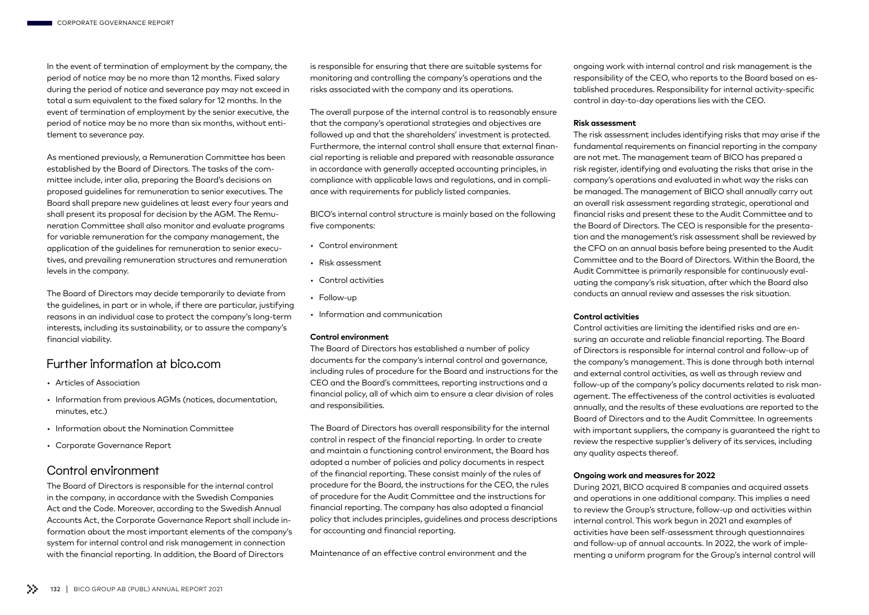In the event of termination of employment by the company, the period of notice may be no more than 12 months. Fixed salary during the period of notice and severance pay may not exceed in total a sum equivalent to the fixed salary for 12 months. In the event of termination of employment by the senior executive, the period of notice may be no more than six months, without entitlement to severance pay.

As mentioned previously, a Remuneration Committee has been established by the Board of Directors. The tasks of the committee include, inter alia, preparing the Board's decisions on proposed guidelines for remuneration to senior executives. The Board shall prepare new guidelines at least every four years and shall present its proposal for decision by the AGM. The Remuneration Committee shall also monitor and evaluate programs for variable remuneration for the company management, the application of the guidelines for remuneration to senior executives, and prevailing remuneration structures and remuneration levels in the company.

The Board of Directors may decide temporarily to deviate from the guidelines, in part or in whole, if there are particular, justifying reasons in an individual case to protect the company's long-term interests, including its sustainability, or to assure the company's financial viability.

## Further information at bico.com

- Articles of Association
- Information from previous AGMs (notices, documentation, minutes, etc.)
- Information about the Nomination Committee
- Corporate Governance Report

## Control environment

The Board of Directors is responsible for the internal control in the company, in accordance with the Swedish Companies Act and the Code. Moreover, according to the Swedish Annual Accounts Act, the Corporate Governance Report shall include information about the most important elements of the company's system for internal control and risk management in connection with the financial reporting. In addition, the Board of Directors

is responsible for ensuring that there are suitable systems for monitoring and controlling the company's operations and the risks associated with the company and its operations.

The overall purpose of the internal control is to reasonably ensure that the company's operational strategies and objectives are followed up and that the shareholders' investment is protected. Furthermore, the internal control shall ensure that external financial reporting is reliable and prepared with reasonable assurance in accordance with generally accepted accounting principles, in compliance with applicable laws and regulations, and in compliance with requirements for publicly listed companies.

BICO's internal control structure is mainly based on the following five components:

- Control environment
- Risk assessment
- Control activities
- Follow-up
- Information and communication

#### **Control environment**

The Board of Directors has established a number of policy documents for the company's internal control and governance, including rules of procedure for the Board and instructions for the CEO and the Board's committees, reporting instructions and a financial policy, all of which aim to ensure a clear division of roles and responsibilities.

The Board of Directors has overall responsibility for the internal control in respect of the financial reporting. In order to create and maintain a functioning control environment, the Board has adopted a number of policies and policy documents in respect of the financial reporting. These consist mainly of the rules of procedure for the Board, the instructions for the CEO, the rules of procedure for the Audit Committee and the instructions for financial reporting. The company has also adopted a financial policy that includes principles, guidelines and process descriptions for accounting and financial reporting.

Maintenance of an effective control environment and the

ongoing work with internal control and risk management is the responsibility of the CEO, who reports to the Board based on established procedures. Responsibility for internal activity-specific control in day-to-day operations lies with the CEO.

#### **Risk assessment**

The risk assessment includes identifying risks that may arise if the fundamental requirements on financial reporting in the company are not met. The management team of BICO has prepared a risk register, identifying and evaluating the risks that arise in the company's operations and evaluated in what way the risks can be managed. The management of BICO shall annually carry out an overall risk assessment regarding strategic, operational and financial risks and present these to the Audit Committee and to the Board of Directors. The CEO is responsible for the presentation and the management's risk assessment shall be reviewed by the CFO on an annual basis before being presented to the Audit Committee and to the Board of Directors. Within the Board, the Audit Committee is primarily responsible for continuously evaluating the company's risk situation, after which the Board also conducts an annual review and assesses the risk situation.

#### **Control activities**

Control activities are limiting the identified risks and are ensuring an accurate and reliable financial reporting. The Board of Directors is responsible for internal control and follow-up of the company's management. This is done through both internal and external control activities, as well as through review and follow-up of the company's policy documents related to risk management. The effectiveness of the control activities is evaluated annually, and the results of these evaluations are reported to the Board of Directors and to the Audit Committee. In agreements with important suppliers, the company is guaranteed the right to review the respective supplier's delivery of its services, including any quality aspects thereof.

#### **Ongoing work and measures for 2022**

During 2021, BICO acquired 8 companies and acquired assets and operations in one additional company. This implies a need to review the Group's structure, follow-up and activities within internal control. This work begun in 2021 and examples of activities have been self-assessment through questionnaires and follow-up of annual accounts. In 2022, the work of implementing a uniform program for the Group's internal control will